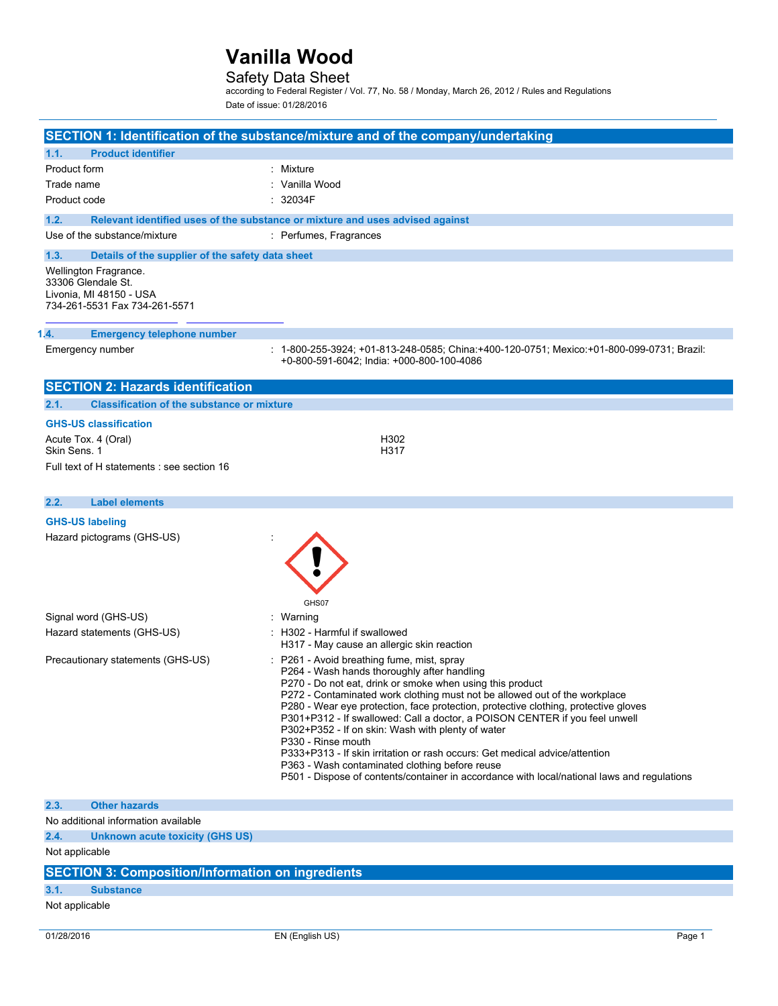## Safety Data Sheet

according to Federal Register / Vol. 77, No. 58 / Monday, March 26, 2012 / Rules and Regulations Date of issue: 01/28/2016

| SECTION 1: Identification of the substance/mixture and of the company/undertaking                       |                                                                                                                                                                                                                                                                                                                                                                                                                                                                                                                                                                                                                                                                                                                       |  |
|---------------------------------------------------------------------------------------------------------|-----------------------------------------------------------------------------------------------------------------------------------------------------------------------------------------------------------------------------------------------------------------------------------------------------------------------------------------------------------------------------------------------------------------------------------------------------------------------------------------------------------------------------------------------------------------------------------------------------------------------------------------------------------------------------------------------------------------------|--|
| <b>Product identifier</b><br>1.1.                                                                       |                                                                                                                                                                                                                                                                                                                                                                                                                                                                                                                                                                                                                                                                                                                       |  |
| Product form                                                                                            | : Mixture                                                                                                                                                                                                                                                                                                                                                                                                                                                                                                                                                                                                                                                                                                             |  |
| Trade name                                                                                              | : Vanilla Wood                                                                                                                                                                                                                                                                                                                                                                                                                                                                                                                                                                                                                                                                                                        |  |
| Product code                                                                                            | : 32034F                                                                                                                                                                                                                                                                                                                                                                                                                                                                                                                                                                                                                                                                                                              |  |
| 1.2.                                                                                                    | Relevant identified uses of the substance or mixture and uses advised against                                                                                                                                                                                                                                                                                                                                                                                                                                                                                                                                                                                                                                         |  |
| Use of the substance/mixture                                                                            | : Perfumes, Fragrances                                                                                                                                                                                                                                                                                                                                                                                                                                                                                                                                                                                                                                                                                                |  |
| 1.3.<br>Details of the supplier of the safety data sheet                                                |                                                                                                                                                                                                                                                                                                                                                                                                                                                                                                                                                                                                                                                                                                                       |  |
| Wellington Fragrance.<br>33306 Glendale St.<br>Livonia, MI 48150 - USA<br>734-261-5531 Fax 734-261-5571 |                                                                                                                                                                                                                                                                                                                                                                                                                                                                                                                                                                                                                                                                                                                       |  |
| 1.4.<br><b>Emergency telephone number</b>                                                               |                                                                                                                                                                                                                                                                                                                                                                                                                                                                                                                                                                                                                                                                                                                       |  |
| Emergency number                                                                                        | : 1-800-255-3924; +01-813-248-0585; China:+400-120-0751; Mexico:+01-800-099-0731; Brazil:<br>+0-800-591-6042; India: +000-800-100-4086                                                                                                                                                                                                                                                                                                                                                                                                                                                                                                                                                                                |  |
| <b>SECTION 2: Hazards identification</b>                                                                |                                                                                                                                                                                                                                                                                                                                                                                                                                                                                                                                                                                                                                                                                                                       |  |
| <b>Classification of the substance or mixture</b><br>2.1.                                               |                                                                                                                                                                                                                                                                                                                                                                                                                                                                                                                                                                                                                                                                                                                       |  |
| <b>GHS-US classification</b>                                                                            |                                                                                                                                                                                                                                                                                                                                                                                                                                                                                                                                                                                                                                                                                                                       |  |
| Acute Tox. 4 (Oral)<br>Skin Sens. 1                                                                     | H302<br>H317                                                                                                                                                                                                                                                                                                                                                                                                                                                                                                                                                                                                                                                                                                          |  |
| Full text of H statements : see section 16                                                              |                                                                                                                                                                                                                                                                                                                                                                                                                                                                                                                                                                                                                                                                                                                       |  |
|                                                                                                         |                                                                                                                                                                                                                                                                                                                                                                                                                                                                                                                                                                                                                                                                                                                       |  |
| 2.2.<br><b>Label elements</b>                                                                           |                                                                                                                                                                                                                                                                                                                                                                                                                                                                                                                                                                                                                                                                                                                       |  |
| <b>GHS-US labeling</b>                                                                                  |                                                                                                                                                                                                                                                                                                                                                                                                                                                                                                                                                                                                                                                                                                                       |  |
| Hazard pictograms (GHS-US)                                                                              | GHS07                                                                                                                                                                                                                                                                                                                                                                                                                                                                                                                                                                                                                                                                                                                 |  |
| Signal word (GHS-US)                                                                                    | : Warning                                                                                                                                                                                                                                                                                                                                                                                                                                                                                                                                                                                                                                                                                                             |  |
| Hazard statements (GHS-US)                                                                              | : H302 - Harmful if swallowed<br>H317 - May cause an allergic skin reaction                                                                                                                                                                                                                                                                                                                                                                                                                                                                                                                                                                                                                                           |  |
| Precautionary statements (GHS-US)                                                                       | : P261 - Avoid breathing fume, mist, spray<br>P264 - Wash hands thoroughly after handling<br>P270 - Do not eat, drink or smoke when using this product<br>P272 - Contaminated work clothing must not be allowed out of the workplace<br>P280 - Wear eye protection, face protection, protective clothing, protective gloves<br>P301+P312 - If swallowed: Call a doctor, a POISON CENTER if you feel unwell<br>P302+P352 - If on skin: Wash with plenty of water<br>P330 - Rinse mouth<br>P333+P313 - If skin irritation or rash occurs: Get medical advice/attention<br>P363 - Wash contaminated clothing before reuse<br>P501 - Dispose of contents/container in accordance with local/national laws and regulations |  |
| <b>Other hazards</b><br>2.3.                                                                            |                                                                                                                                                                                                                                                                                                                                                                                                                                                                                                                                                                                                                                                                                                                       |  |
| No additional information available                                                                     |                                                                                                                                                                                                                                                                                                                                                                                                                                                                                                                                                                                                                                                                                                                       |  |
| 2.4.<br><b>Unknown acute toxicity (GHS US)</b>                                                          |                                                                                                                                                                                                                                                                                                                                                                                                                                                                                                                                                                                                                                                                                                                       |  |
| Not applicable                                                                                          |                                                                                                                                                                                                                                                                                                                                                                                                                                                                                                                                                                                                                                                                                                                       |  |

## **SECTION 3: Composition/Information on ingredients**

## **3.1. Substance**

#### Not applicable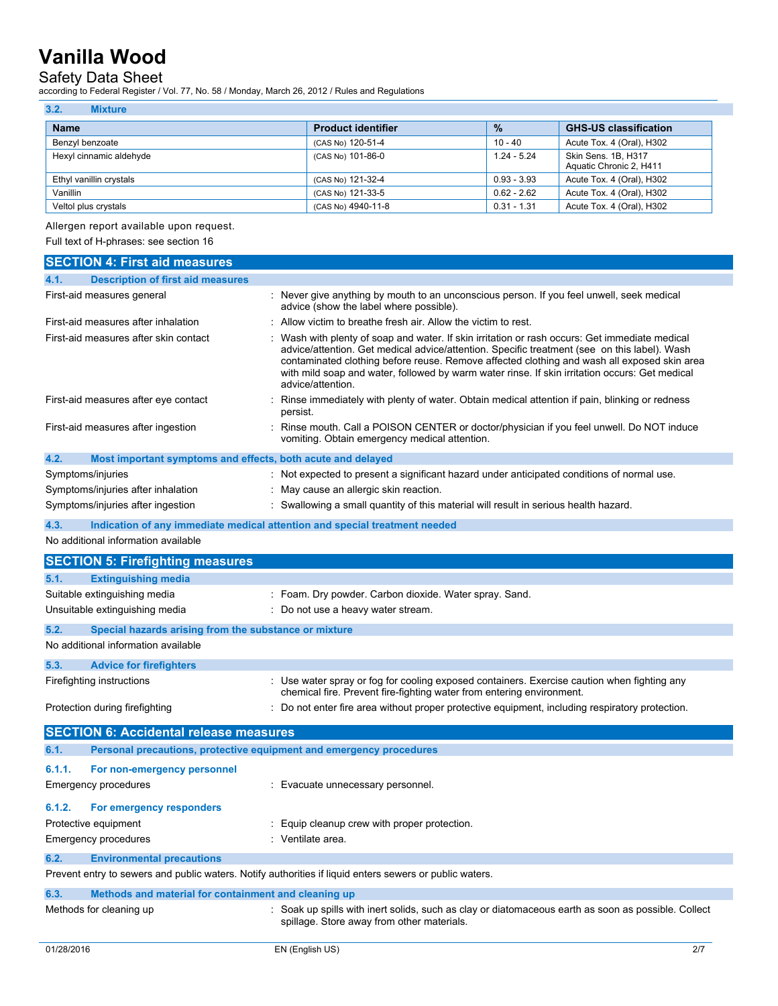### Safety Data Sheet

according to Federal Register / Vol. 77, No. 58 / Monday, March 26, 2012 / Rules and Regulations

| 3.2.<br><b>Mixture</b>  |                           |               |                                                |
|-------------------------|---------------------------|---------------|------------------------------------------------|
| <b>Name</b>             | <b>Product identifier</b> | $\frac{9}{6}$ | <b>GHS-US classification</b>                   |
| Benzyl benzoate         | (CAS No) 120-51-4         | 10 - 40       | Acute Tox. 4 (Oral), H302                      |
| Hexyl cinnamic aldehyde | (CAS No) 101-86-0         | $1.24 - 5.24$ | Skin Sens, 1B, H317<br>Aquatic Chronic 2, H411 |
| Ethyl vanillin crystals | (CAS No) 121-32-4         | $0.93 - 3.93$ | Acute Tox. 4 (Oral), H302                      |
| Vanillin                | (CAS No) 121-33-5         | $0.62 - 2.62$ | Acute Tox. 4 (Oral), H302                      |
| Veltol plus crystals    | (CAS No) 4940-11-8        | $0.31 - 1.31$ | Acute Tox. 4 (Oral), H302                      |

### Allergen report available upon request.

Full text of H-phrases: see section 16

| <b>SECTION 4: First aid measures</b>                                                                    |                                                                                                                                                                                                                                                                                                                                                                                                                    |  |  |
|---------------------------------------------------------------------------------------------------------|--------------------------------------------------------------------------------------------------------------------------------------------------------------------------------------------------------------------------------------------------------------------------------------------------------------------------------------------------------------------------------------------------------------------|--|--|
| <b>Description of first aid measures</b><br>4.1.                                                        |                                                                                                                                                                                                                                                                                                                                                                                                                    |  |  |
| First-aid measures general                                                                              | : Never give anything by mouth to an unconscious person. If you feel unwell, seek medical<br>advice (show the label where possible).                                                                                                                                                                                                                                                                               |  |  |
| First-aid measures after inhalation                                                                     | Allow victim to breathe fresh air. Allow the victim to rest.                                                                                                                                                                                                                                                                                                                                                       |  |  |
| First-aid measures after skin contact                                                                   | Wash with plenty of soap and water. If skin irritation or rash occurs: Get immediate medical<br>advice/attention. Get medical advice/attention. Specific treatment (see on this label). Wash<br>contaminated clothing before reuse. Remove affected clothing and wash all exposed skin area<br>with mild soap and water, followed by warm water rinse. If skin irritation occurs: Get medical<br>advice/attention. |  |  |
| First-aid measures after eye contact                                                                    | Rinse immediately with plenty of water. Obtain medical attention if pain, blinking or redness<br>persist.                                                                                                                                                                                                                                                                                                          |  |  |
| First-aid measures after ingestion                                                                      | Rinse mouth. Call a POISON CENTER or doctor/physician if you feel unwell. Do NOT induce<br>vomiting. Obtain emergency medical attention.                                                                                                                                                                                                                                                                           |  |  |
| 4.2.<br>Most important symptoms and effects, both acute and delayed                                     |                                                                                                                                                                                                                                                                                                                                                                                                                    |  |  |
| Symptoms/injuries                                                                                       | : Not expected to present a significant hazard under anticipated conditions of normal use.                                                                                                                                                                                                                                                                                                                         |  |  |
| Symptoms/injuries after inhalation                                                                      | May cause an allergic skin reaction.                                                                                                                                                                                                                                                                                                                                                                               |  |  |
| Symptoms/injuries after ingestion                                                                       | : Swallowing a small quantity of this material will result in serious health hazard.                                                                                                                                                                                                                                                                                                                               |  |  |
| 4.3.                                                                                                    | Indication of any immediate medical attention and special treatment needed                                                                                                                                                                                                                                                                                                                                         |  |  |
| No additional information available                                                                     |                                                                                                                                                                                                                                                                                                                                                                                                                    |  |  |
| <b>SECTION 5: Firefighting measures</b>                                                                 |                                                                                                                                                                                                                                                                                                                                                                                                                    |  |  |
| <b>Extinguishing media</b><br>5.1.                                                                      |                                                                                                                                                                                                                                                                                                                                                                                                                    |  |  |
| Suitable extinguishing media                                                                            | : Foam. Dry powder. Carbon dioxide. Water spray. Sand.                                                                                                                                                                                                                                                                                                                                                             |  |  |
| Unsuitable extinguishing media                                                                          | : Do not use a heavy water stream.                                                                                                                                                                                                                                                                                                                                                                                 |  |  |
| 5.2.<br>Special hazards arising from the substance or mixture                                           |                                                                                                                                                                                                                                                                                                                                                                                                                    |  |  |
| No additional information available                                                                     |                                                                                                                                                                                                                                                                                                                                                                                                                    |  |  |
| 5.3.<br><b>Advice for firefighters</b>                                                                  |                                                                                                                                                                                                                                                                                                                                                                                                                    |  |  |
| Firefighting instructions                                                                               | : Use water spray or fog for cooling exposed containers. Exercise caution when fighting any<br>chemical fire. Prevent fire-fighting water from entering environment.                                                                                                                                                                                                                                               |  |  |
| Protection during firefighting                                                                          | : Do not enter fire area without proper protective equipment, including respiratory protection.                                                                                                                                                                                                                                                                                                                    |  |  |
| <b>SECTION 6: Accidental release measures</b>                                                           |                                                                                                                                                                                                                                                                                                                                                                                                                    |  |  |
| Personal precautions, protective equipment and emergency procedures<br>6.1.                             |                                                                                                                                                                                                                                                                                                                                                                                                                    |  |  |
| 6.1.1.<br>For non-emergency personnel                                                                   |                                                                                                                                                                                                                                                                                                                                                                                                                    |  |  |
| Emergency procedures                                                                                    | : Evacuate unnecessary personnel.                                                                                                                                                                                                                                                                                                                                                                                  |  |  |
|                                                                                                         |                                                                                                                                                                                                                                                                                                                                                                                                                    |  |  |
| 6.1.2.<br>For emergency responders                                                                      |                                                                                                                                                                                                                                                                                                                                                                                                                    |  |  |
| Protective equipment                                                                                    | Equip cleanup crew with proper protection.                                                                                                                                                                                                                                                                                                                                                                         |  |  |
| <b>Emergency procedures</b>                                                                             | : Ventilate area.                                                                                                                                                                                                                                                                                                                                                                                                  |  |  |
| 6.2.<br><b>Environmental precautions</b>                                                                |                                                                                                                                                                                                                                                                                                                                                                                                                    |  |  |
| Prevent entry to sewers and public waters. Notify authorities if liquid enters sewers or public waters. |                                                                                                                                                                                                                                                                                                                                                                                                                    |  |  |
| 6.3.<br>Methods and material for containment and cleaning up                                            |                                                                                                                                                                                                                                                                                                                                                                                                                    |  |  |
| Methods for cleaning up                                                                                 | : Soak up spills with inert solids, such as clay or diatomaceous earth as soon as possible. Collect<br>spillage. Store away from other materials.                                                                                                                                                                                                                                                                  |  |  |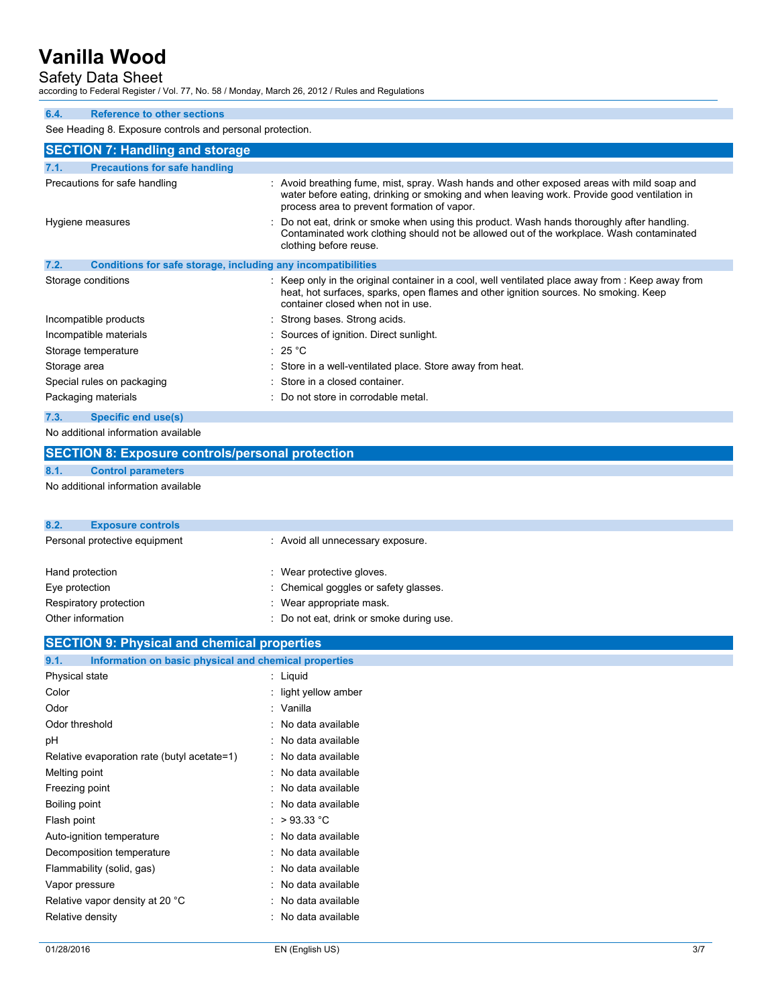Safety Data Sheet

according to Federal Register / Vol. 77, No. 58 / Monday, March 26, 2012 / Rules and Regulations

### **6.4. Reference to other sections**

See Heading 8. Exposure controls and personal protection.

| <b>SECTION 7: Handling and storage</b>                               |                                                                                                                                                                                                                                          |  |  |
|----------------------------------------------------------------------|------------------------------------------------------------------------------------------------------------------------------------------------------------------------------------------------------------------------------------------|--|--|
| <b>Precautions for safe handling</b><br>7.1.                         |                                                                                                                                                                                                                                          |  |  |
| Precautions for safe handling                                        | : Avoid breathing fume, mist, spray. Wash hands and other exposed areas with mild soap and<br>water before eating, drinking or smoking and when leaving work. Provide good ventilation in<br>process area to prevent formation of vapor. |  |  |
| Hygiene measures                                                     | : Do not eat, drink or smoke when using this product. Wash hands thoroughly after handling.<br>Contaminated work clothing should not be allowed out of the workplace. Wash contaminated<br>clothing before reuse.                        |  |  |
| 7.2.<br>Conditions for safe storage, including any incompatibilities |                                                                                                                                                                                                                                          |  |  |
| Storage conditions                                                   | : Keep only in the original container in a cool, well ventilated place away from : Keep away from<br>heat, hot surfaces, sparks, open flames and other ignition sources. No smoking. Keep<br>container closed when not in use.           |  |  |
| Incompatible products                                                | : Strong bases. Strong acids.                                                                                                                                                                                                            |  |  |
| Incompatible materials                                               | : Sources of ignition. Direct sunlight.                                                                                                                                                                                                  |  |  |
| Storage temperature                                                  | : 25 °C                                                                                                                                                                                                                                  |  |  |
| Storage area                                                         | : Store in a well-ventilated place. Store away from heat.                                                                                                                                                                                |  |  |
| Special rules on packaging                                           | : Store in a closed container.                                                                                                                                                                                                           |  |  |
| Packaging materials                                                  | : Do not store in corrodable metal.                                                                                                                                                                                                      |  |  |
| 7.3.<br><b>Specific end use(s)</b>                                   |                                                                                                                                                                                                                                          |  |  |

No additional information available

|      | SECTION 8: Exposure controls/personal protection |
|------|--------------------------------------------------|
| 8.1. | <b>Control parameters</b>                        |

No additional information available

| : Avoid all unnecessary exposure.        |
|------------------------------------------|
| : Wear protective gloves.                |
| : Chemical goggles or safety glasses.    |
| : Wear appropriate mask.                 |
| : Do not eat, drink or smoke during use. |
|                                          |

## **SECTION 9: Physical and chemical properties**

| Information on basic physical and chemical properties<br>9.1. |                      |
|---------------------------------------------------------------|----------------------|
| Physical state                                                | : Liquid             |
| Color                                                         | : light yellow amber |
| Odor                                                          | : Vanilla            |
| Odor threshold                                                | : No data available  |
| pH                                                            | : No data available  |
| Relative evaporation rate (butyl acetate=1)                   | : No data available  |
| Melting point                                                 | : No data available  |
| Freezing point                                                | : No data available  |
| Boiling point                                                 | : No data available  |
| Flash point                                                   | : $>93.33^{\circ}$ C |
| Auto-ignition temperature                                     | : No data available  |
| Decomposition temperature                                     | : No data available  |
| Flammability (solid, gas)                                     | : No data available  |
| Vapor pressure                                                | : No data available  |
| Relative vapor density at 20 °C                               | : No data available  |
| Relative density                                              | : No data available  |
|                                                               |                      |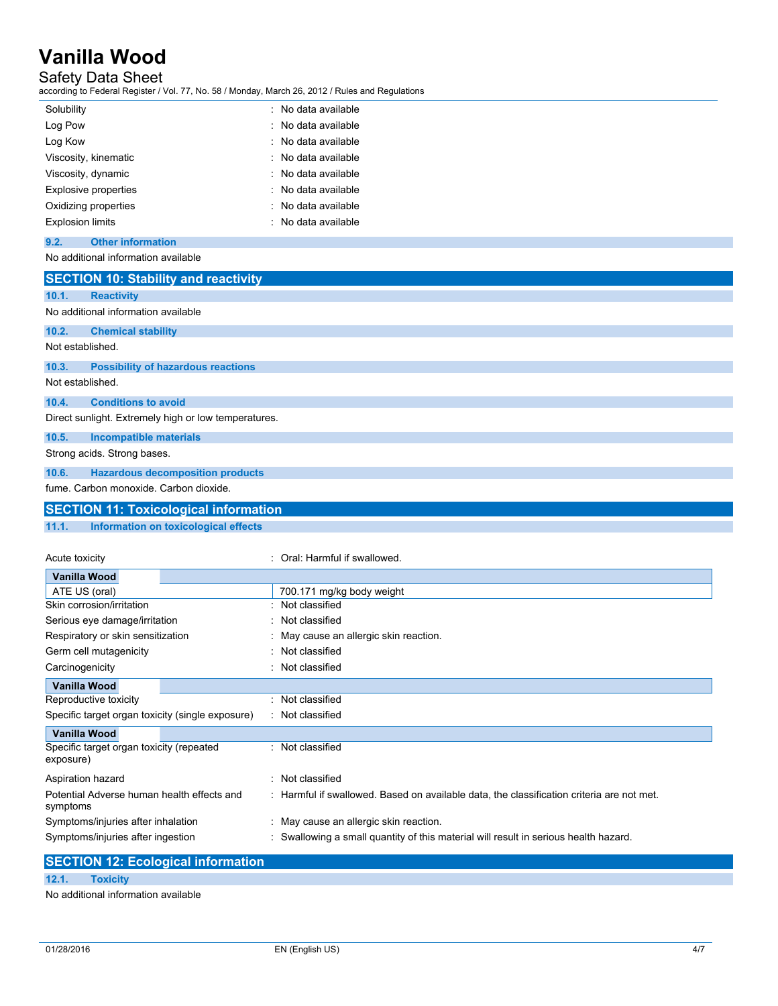Safety Data Sheet

according to Federal Register / Vol. 77, No. 58 / Monday, March 26, 2012 / Rules and Regulations

| Solubility                  | $\therefore$ No data available |
|-----------------------------|--------------------------------|
| Log Pow                     | : No data available            |
| Log Kow                     | : No data available            |
| Viscosity, kinematic        | : No data available            |
| Viscosity, dynamic          | : No data available            |
| <b>Explosive properties</b> | : No data available            |
| Oxidizing properties        | : No data available            |
| <b>Explosion limits</b>     | : No data available            |

#### **9.2. Other information**

#### No additional information available

|                                                      | <b>SECTION 10: Stability and reactivity</b> |  |  |  |
|------------------------------------------------------|---------------------------------------------|--|--|--|
| 10.1.                                                | <b>Reactivity</b>                           |  |  |  |
|                                                      | No additional information available         |  |  |  |
| 10.2.                                                | <b>Chemical stability</b>                   |  |  |  |
|                                                      | Not established.                            |  |  |  |
| 10.3.                                                | <b>Possibility of hazardous reactions</b>   |  |  |  |
| Not established.                                     |                                             |  |  |  |
| 10.4.                                                | <b>Conditions to avoid</b>                  |  |  |  |
| Direct sunlight. Extremely high or low temperatures. |                                             |  |  |  |
| 10.5.                                                | <b>Incompatible materials</b>               |  |  |  |
| Strong acids. Strong bases.                          |                                             |  |  |  |
| 10.6.                                                | <b>Hazardous decomposition products</b>     |  |  |  |
| fume. Carbon monoxide. Carbon dioxide.               |                                             |  |  |  |
| <b>SECTION 11: Toxicological information</b>         |                                             |  |  |  |
|                                                      |                                             |  |  |  |

#### **11.1. Information on toxicological effects**

| Acute toxicity                                         |  | Oral: Harmful if swallowed                                                                |
|--------------------------------------------------------|--|-------------------------------------------------------------------------------------------|
| Vanilla Wood                                           |  |                                                                                           |
| ATE US (oral)                                          |  | 700.171 mg/kg body weight                                                                 |
| Skin corrosion/irritation                              |  | Not classified                                                                            |
| Serious eye damage/irritation                          |  | : Not classified                                                                          |
| Respiratory or skin sensitization                      |  | : May cause an allergic skin reaction.                                                    |
| Germ cell mutagenicity                                 |  | Not classified                                                                            |
| Carcinogenicity                                        |  | Not classified                                                                            |
| Vanilla Wood                                           |  |                                                                                           |
| Reproductive toxicity                                  |  | Not classified                                                                            |
| Specific target organ toxicity (single exposure)       |  | : Not classified                                                                          |
| Vanilla Wood                                           |  |                                                                                           |
| Specific target organ toxicity (repeated<br>exposure)  |  | Not classified                                                                            |
| Aspiration hazard                                      |  | : Not classified                                                                          |
| Potential Adverse human health effects and<br>symptoms |  | : Harmful if swallowed. Based on available data, the classification criteria are not met. |
| Symptoms/injuries after inhalation                     |  | : May cause an allergic skin reaction.                                                    |
| Symptoms/injuries after ingestion                      |  | Swallowing a small quantity of this material will result in serious health hazard.        |

|       | <b>SECTION 12: Ecological information</b> |
|-------|-------------------------------------------|
| 12.1. | <b>Toxicity</b>                           |

No additional information available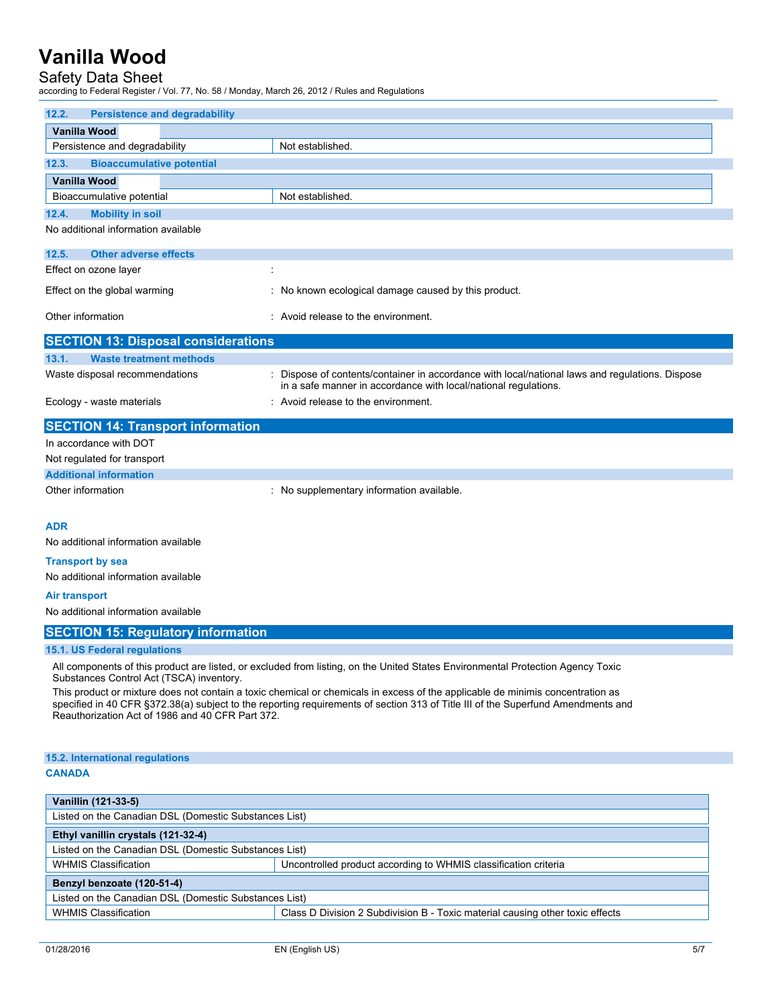## Safety Data Sheet

according to Federal Register / Vol. 77, No. 58 / Monday, March 26, 2012 / Rules and Regulations

| 12.2.<br><b>Persistence and degradability</b> |                                                                                                                                                                  |  |
|-----------------------------------------------|------------------------------------------------------------------------------------------------------------------------------------------------------------------|--|
| Vanilla Wood                                  |                                                                                                                                                                  |  |
| Persistence and degradability                 | Not established.                                                                                                                                                 |  |
| <b>Bioaccumulative potential</b><br>12.3.     |                                                                                                                                                                  |  |
| Vanilla Wood                                  |                                                                                                                                                                  |  |
| Bioaccumulative potential                     | Not established.                                                                                                                                                 |  |
| <b>Mobility in soil</b><br>12.4.              |                                                                                                                                                                  |  |
| No additional information available           |                                                                                                                                                                  |  |
| 12.5.<br><b>Other adverse effects</b>         |                                                                                                                                                                  |  |
| Effect on ozone layer                         |                                                                                                                                                                  |  |
|                                               |                                                                                                                                                                  |  |
| Effect on the global warming                  | : No known ecological damage caused by this product.                                                                                                             |  |
| Other information                             | : Avoid release to the environment.                                                                                                                              |  |
| <b>SECTION 13: Disposal considerations</b>    |                                                                                                                                                                  |  |
| 13.1.<br><b>Waste treatment methods</b>       |                                                                                                                                                                  |  |
| Waste disposal recommendations                | Dispose of contents/container in accordance with local/national laws and regulations. Dispose<br>in a safe manner in accordance with local/national regulations. |  |
| Ecology - waste materials                     | : Avoid release to the environment.                                                                                                                              |  |
| <b>SECTION 14: Transport information</b>      |                                                                                                                                                                  |  |
| In accordance with DOT                        |                                                                                                                                                                  |  |
| Not regulated for transport                   |                                                                                                                                                                  |  |
| <b>Additional information</b>                 |                                                                                                                                                                  |  |
| Other information                             | : No supplementary information available.                                                                                                                        |  |

#### **ADR**

No additional information available

#### **Transport by sea**

No additional information available

#### **Air transport**

No additional information available

#### **SECTION 15: Regulatory information**

#### **15.1. US Federal regulations**

All components of this product are listed, or excluded from listing, on the United States Environmental Protection Agency Toxic Substances Control Act (TSCA) inventory.

This product or mixture does not contain a toxic chemical or chemicals in excess of the applicable de minimis concentration as specified in 40 CFR §372.38(a) subject to the reporting requirements of section 313 of Title III of the Superfund Amendments and Reauthorization Act of 1986 and 40 CFR Part 372.

### **15.2. International regulations**

#### **CANADA**

| Vanillin (121-33-5)                                   |                                                                               |  |
|-------------------------------------------------------|-------------------------------------------------------------------------------|--|
| Listed on the Canadian DSL (Domestic Substances List) |                                                                               |  |
| Ethyl vanillin crystals (121-32-4)                    |                                                                               |  |
| Listed on the Canadian DSL (Domestic Substances List) |                                                                               |  |
| <b>WHMIS Classification</b>                           | Uncontrolled product according to WHMIS classification criteria               |  |
| Benzyl benzoate (120-51-4)                            |                                                                               |  |
| Listed on the Canadian DSL (Domestic Substances List) |                                                                               |  |
| <b>WHMIS Classification</b>                           | Class D Division 2 Subdivision B - Toxic material causing other toxic effects |  |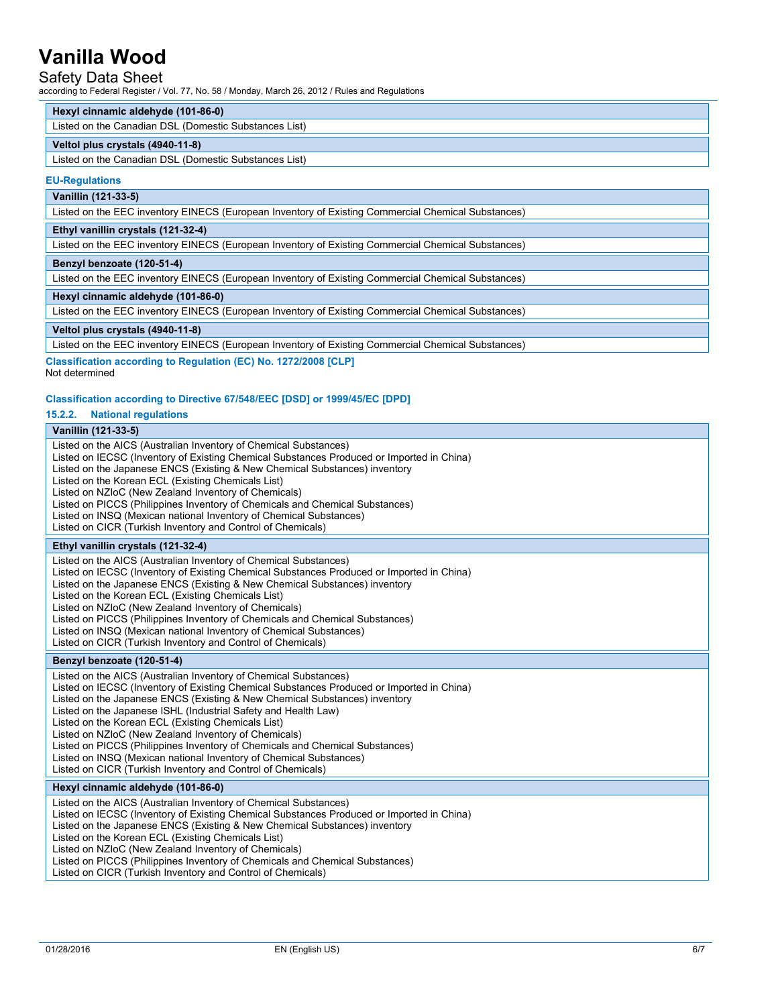### Safety Data Sheet

according to Federal Register / Vol. 77, No. 58 / Monday, March 26, 2012 / Rules and Regulations

#### **Hexyl cinnamic aldehyde (101-86-0)**

Listed on the Canadian DSL (Domestic Substances List)

#### **Veltol plus crystals (4940-11-8)**

Listed on the Canadian DSL (Domestic Substances List)

#### **EU-Regulations**

**Vanillin (121-33-5)**

Listed on the EEC inventory EINECS (European Inventory of Existing Commercial Chemical Substances)

### **Ethyl vanillin crystals (121-32-4)**

Listed on the EEC inventory EINECS (European Inventory of Existing Commercial Chemical Substances)

**Benzyl benzoate (120-51-4)**

Listed on the EEC inventory EINECS (European Inventory of Existing Commercial Chemical Substances)

**Hexyl cinnamic aldehyde (101-86-0)**

Listed on the EEC inventory EINECS (European Inventory of Existing Commercial Chemical Substances)

#### **Veltol plus crystals (4940-11-8)**

Listed on the EEC inventory EINECS (European Inventory of Existing Commercial Chemical Substances)

**Classification according to Regulation (EC) No. 1272/2008 [CLP]** Not determined

#### **Classification according to Directive 67/548/EEC [DSD] or 1999/45/EC [DPD]**

**15.2.2. National regulations**

| Vanillin (121-33-5)                                                                                                                                                                                                                                                                                                                                                                                                                                                                                                                                                                                                                              |
|--------------------------------------------------------------------------------------------------------------------------------------------------------------------------------------------------------------------------------------------------------------------------------------------------------------------------------------------------------------------------------------------------------------------------------------------------------------------------------------------------------------------------------------------------------------------------------------------------------------------------------------------------|
| Listed on the AICS (Australian Inventory of Chemical Substances)<br>Listed on IECSC (Inventory of Existing Chemical Substances Produced or Imported in China)<br>Listed on the Japanese ENCS (Existing & New Chemical Substances) inventory<br>Listed on the Korean ECL (Existing Chemicals List)<br>Listed on NZIoC (New Zealand Inventory of Chemicals)<br>Listed on PICCS (Philippines Inventory of Chemicals and Chemical Substances)<br>Listed on INSQ (Mexican national Inventory of Chemical Substances)<br>Listed on CICR (Turkish Inventory and Control of Chemicals)                                                                   |
| Ethyl vanillin crystals (121-32-4)                                                                                                                                                                                                                                                                                                                                                                                                                                                                                                                                                                                                               |
| Listed on the AICS (Australian Inventory of Chemical Substances)<br>Listed on IECSC (Inventory of Existing Chemical Substances Produced or Imported in China)<br>Listed on the Japanese ENCS (Existing & New Chemical Substances) inventory<br>Listed on the Korean ECL (Existing Chemicals List)<br>Listed on NZIoC (New Zealand Inventory of Chemicals)<br>Listed on PICCS (Philippines Inventory of Chemicals and Chemical Substances)<br>Listed on INSQ (Mexican national Inventory of Chemical Substances)<br>Listed on CICR (Turkish Inventory and Control of Chemicals)                                                                   |
|                                                                                                                                                                                                                                                                                                                                                                                                                                                                                                                                                                                                                                                  |
| Benzyl benzoate (120-51-4)                                                                                                                                                                                                                                                                                                                                                                                                                                                                                                                                                                                                                       |
| Listed on the AICS (Australian Inventory of Chemical Substances)<br>Listed on IECSC (Inventory of Existing Chemical Substances Produced or Imported in China)<br>Listed on the Japanese ENCS (Existing & New Chemical Substances) inventory<br>Listed on the Japanese ISHL (Industrial Safety and Health Law)<br>Listed on the Korean ECL (Existing Chemicals List)<br>Listed on NZIoC (New Zealand Inventory of Chemicals)<br>Listed on PICCS (Philippines Inventory of Chemicals and Chemical Substances)<br>Listed on INSQ (Mexican national Inventory of Chemical Substances)<br>Listed on CICR (Turkish Inventory and Control of Chemicals) |
| Hexyl cinnamic aldehyde (101-86-0)                                                                                                                                                                                                                                                                                                                                                                                                                                                                                                                                                                                                               |